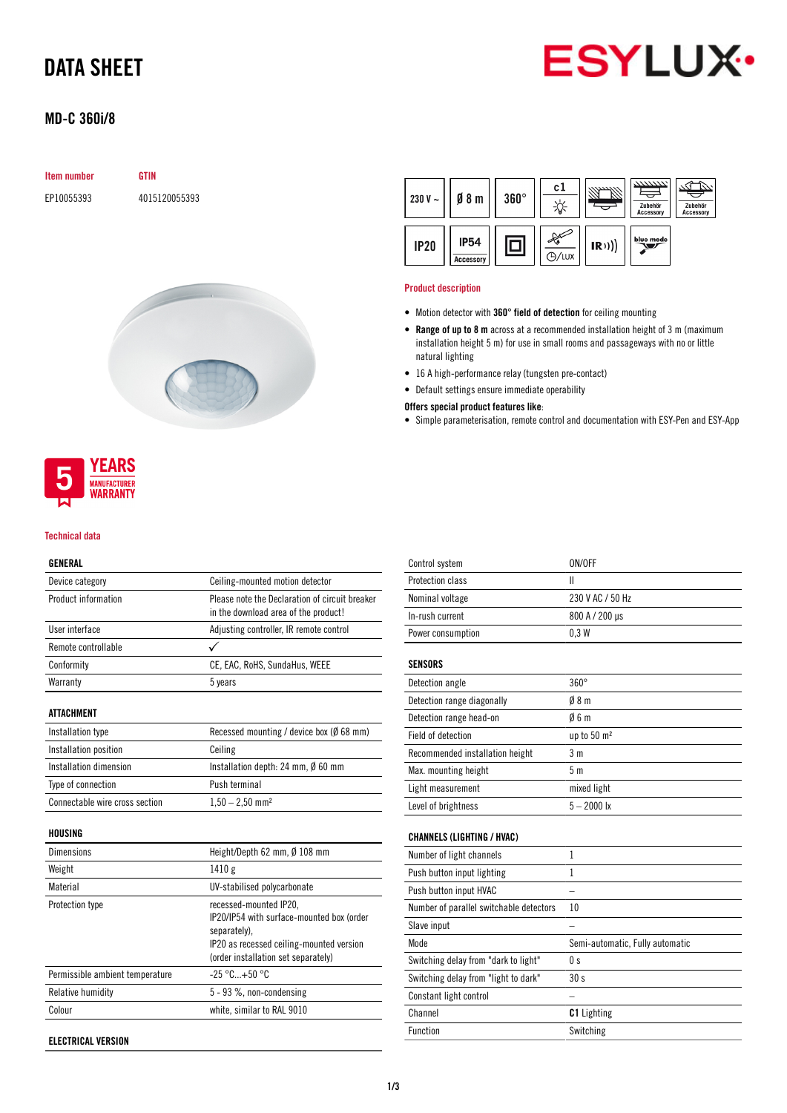# DATA SHEET



### MD-C 360i/8

### Item number GTIN

EP10055393 4015120055393



## **YEARS MANUFACTURER** WARRANTY

#### Technical data

#### GENERAL

| Device category                | Ceiling-mounted motion detector                                                        |  |
|--------------------------------|----------------------------------------------------------------------------------------|--|
| Product information            | Please note the Declaration of circuit breaker<br>in the download area of the product! |  |
| <b>Ilser interface</b>         | Adjusting controller, IR remote control                                                |  |
| Remote controllable            |                                                                                        |  |
| Conformity                     | CE, EAC, RoHS, SundaHus, WEEE                                                          |  |
| Warranty                       | 5 years                                                                                |  |
| ATTACHMENT                     |                                                                                        |  |
| Installation type              | Recessed mounting / device box ( $\emptyset$ 68 mm)                                    |  |
| Installation position          | Ceiling                                                                                |  |
| Installation dimension         | Installation depth: 24 mm, $\emptyset$ 60 mm                                           |  |
| Type of connection             | Push terminal                                                                          |  |
| Connectable wire cross section | $1,50 - 2,50$ mm <sup>2</sup>                                                          |  |
| HOUSING                        |                                                                                        |  |
| <b>Dimensions</b>              | Height/Depth 62 mm, $\emptyset$ 108 mm                                                 |  |
| Weight                         | 1410 g                                                                                 |  |
|                                |                                                                                        |  |

| Weight                          | 1410 g                                                                                                                                                                 |
|---------------------------------|------------------------------------------------------------------------------------------------------------------------------------------------------------------------|
| Material                        | UV-stabilised polycarbonate                                                                                                                                            |
| Protection type                 | recessed-mounted IP20,<br>IP20/IP54 with surface-mounted box (order<br>separately).<br>IP20 as recessed ceiling-mounted version<br>(order installation set separately) |
| Permissible ambient temperature | $-25 °C+50 °C$                                                                                                                                                         |
| Relative humidity               | $5 - 93$ %, non-condensing                                                                                                                                             |
| Colour                          | white, similar to RAL 9010                                                                                                                                             |
|                                 |                                                                                                                                                                        |

ELECTRICAL VERSION



#### Product description

- Motion detector with 360° field of detection for ceiling mounting
- Range of up to 8 m across at a recommended installation height of 3 m (maximum installation height 5 m) for use in small rooms and passageways with no or little natural lighting
- 16 A high-performance relay (tungsten pre-contact)
- Default settings ensure immediate operability

#### Offers special product features like:

• Simple parameterisation, remote control and documentation with ESY-Pen and ESY-App

| Control system                          | ON/OFF                          |
|-----------------------------------------|---------------------------------|
| Protection class                        | Ш                               |
| Nominal voltage                         | 230 V AC / 50 Hz                |
| In-rush current                         | 800 A / 200 µs                  |
| Power consumption                       | 0.3W                            |
| <b>SENSORS</b>                          |                                 |
| Detection angle                         | $360^\circ$                     |
| Detection range diagonally              | 08 <sub>m</sub>                 |
| Detection range head-on                 | 06m                             |
| Field of detection                      | up to 50 m <sup>2</sup>         |
| Recommended installation height         | 3 <sub>m</sub>                  |
| Max. mounting height                    | 5 <sub>m</sub>                  |
| Light measurement                       | mixed light                     |
| Level of brightness                     | $5 - 2000$ lx                   |
| <b>CHANNELS (LIGHTING / HVAC)</b>       |                                 |
| Number of light channels                | 1                               |
| Push button input lighting              | 1                               |
| Push button input HVAC                  |                                 |
| Number of parallel switchable detectors | 10                              |
| Slave input                             |                                 |
| Mode                                    | Semi-automatic, Fully automatic |
| Switching delay from "dark to light"    | 0 <sub>s</sub>                  |
| Switching delay from "light to dark"    | 30s                             |
| Constant light control                  |                                 |
| Channel                                 | <b>C1</b> Lighting              |
| Function                                | Switching                       |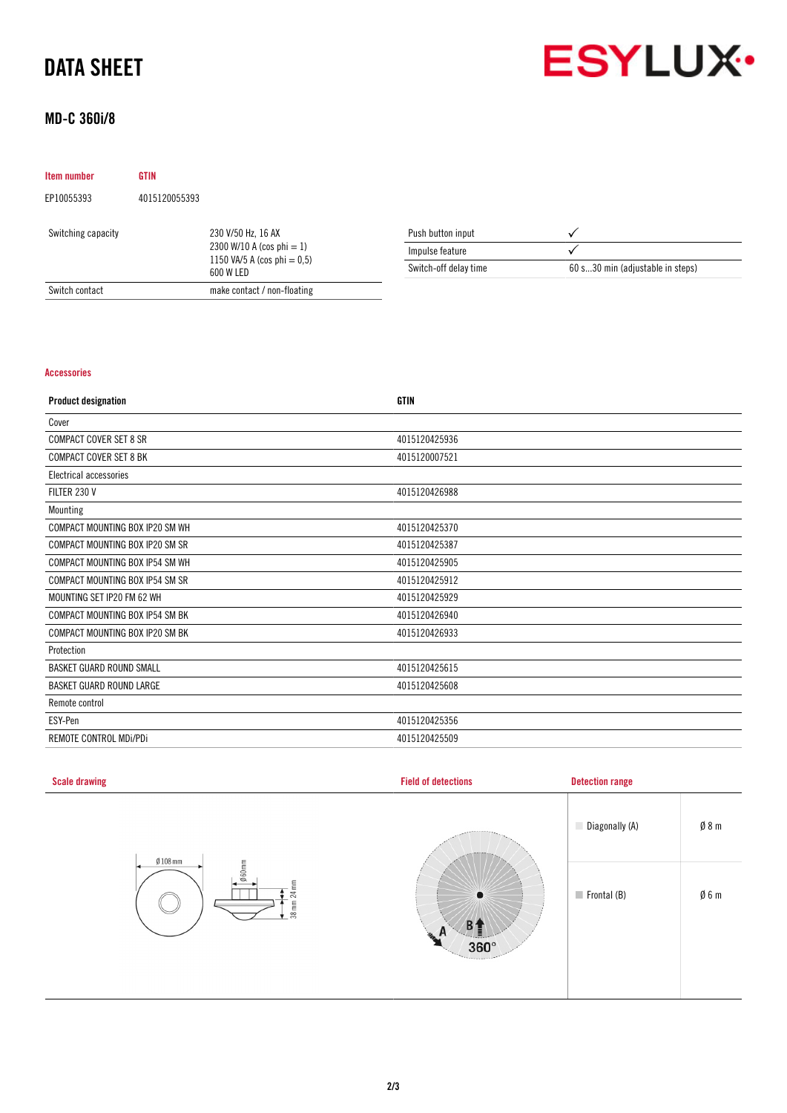# DATA SHEET



## MD-C 360i/8

| Item number        | <b>GTIN</b>   |                                                                                                |                       |                                  |
|--------------------|---------------|------------------------------------------------------------------------------------------------|-----------------------|----------------------------------|
| EP10055393         | 4015120055393 |                                                                                                |                       |                                  |
| Switching capacity |               | 230 V/50 Hz, 16 AX<br>2300 W/10 A (cos phi = 1)<br>1150 VA/5 A (cos phi = $0,5$ )<br>600 W LED | Push button input     |                                  |
|                    |               |                                                                                                | Impulse feature       |                                  |
|                    |               |                                                                                                | Switch-off delay time | 60 s30 min (adjustable in steps) |
| Switch contact     |               | make contact / non-floating                                                                    |                       |                                  |

### Accessories

| <b>Product designation</b>      | <b>GTIN</b>   |
|---------------------------------|---------------|
| Cover                           |               |
| <b>COMPACT COVER SET 8 SR</b>   | 4015120425936 |
| <b>COMPACT COVER SET 8 BK</b>   | 4015120007521 |
| Electrical accessories          |               |
| FILTER 230 V                    | 4015120426988 |
| Mounting                        |               |
| COMPACT MOUNTING BOX IP20 SM WH | 4015120425370 |
| COMPACT MOUNTING BOX IP20 SM SR | 4015120425387 |
| COMPACT MOUNTING BOX IP54 SM WH | 4015120425905 |
| COMPACT MOUNTING BOX IP54 SM SR | 4015120425912 |
| MOUNTING SET IP20 FM 62 WH      | 4015120425929 |
| COMPACT MOUNTING BOX IP54 SM BK | 4015120426940 |
| COMPACT MOUNTING BOX IP20 SM BK | 4015120426933 |
| Protection                      |               |
| <b>BASKET GUARD ROUND SMALL</b> | 4015120425615 |
| BASKET GUARD ROUND LARGE        | 4015120425608 |
| Remote control                  |               |
| ESY-Pen                         | 4015120425356 |
| REMOTE CONTROL MDI/PDI          | 4015120425509 |